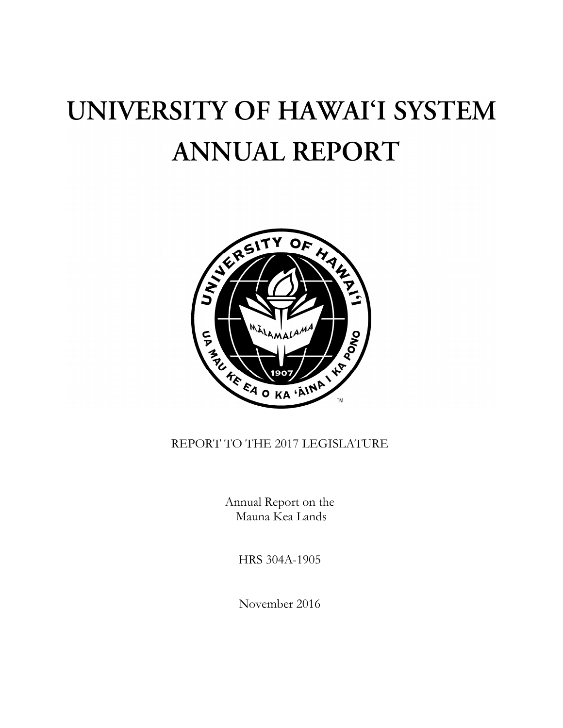# UNIVERSITY OF HAWAI'I SYSTEM **ANNUAL REPORT**



# REPORT TO THE 2017 LEGISLATURE

Annual Report on the Mauna Kea Lands

HRS 304A-1905

November 2016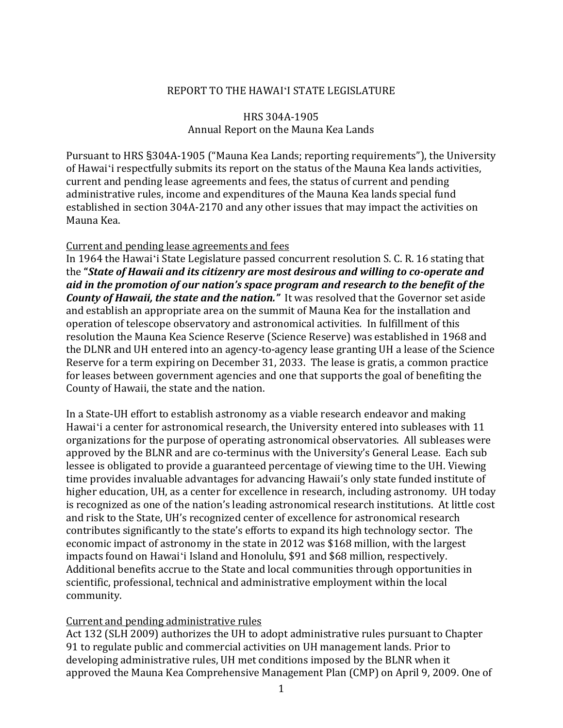#### REPORT TO THE HAWAIʻI STATE LEGISLATURE

#### HRS 304A-1905 Annual Report on the Mauna Kea Lands

Pursuant to HRS §304A-1905 ("Mauna Kea Lands; reporting requirements"), the University of Hawaiʻi respectfully submits its report on the status of the Mauna Kea lands activities, current and pending lease agreements and fees, the status of current and pending administrative rules, income and expenditures of the Mauna Kea lands special fund established in section 304A-2170 and any other issues that may impact the activities on Mauna Kea.

#### Current and pending lease agreements and fees

In 1964 the Hawaiʻi State Legislature passed concurrent resolution S. C. R. 16 stating that the **"***State of Hawaii and its citizenry are most desirous and willing to co-operate and aid in the promotion of our nation's space program and research to the benefit of the County of Hawaii, the state and the nation."* It was resolved that the Governor set aside and establish an appropriate area on the summit of Mauna Kea for the installation and operation of telescope observatory and astronomical activities*.* In fulfillment of this resolution the Mauna Kea Science Reserve (Science Reserve) was established in 1968 and the DLNR and UH entered into an agency-to-agency lease granting UH a lease of the Science Reserve for a term expiring on December 31, 2033. The lease is gratis, a common practice for leases between government agencies and one that supports the goal of benefiting the County of Hawaii, the state and the nation.

In a State-UH effort to establish astronomy as a viable research endeavor and making Hawaiʻi a center for astronomical research, the University entered into subleases with 11 organizations for the purpose of operating astronomical observatories. All subleases were approved by the BLNR and are co-terminus with the University's General Lease. Each sub lessee is obligated to provide a guaranteed percentage of viewing time to the UH. Viewing time provides invaluable advantages for advancing Hawaii's only state funded institute of higher education, UH, as a center for excellence in research, including astronomy. UH today is recognized as one of the nation's leading astronomical research institutions. At little cost and risk to the State, UH's recognized center of excellence for astronomical research contributes significantly to the state's efforts to expand its high technology sector. The economic impact of astronomy in the state in 2012 was \$168 million, with the largest impacts found on Hawaiʻi Island and Honolulu, \$91 and \$68 million, respectively. Additional benefits accrue to the State and local communities through opportunities in scientific, professional, technical and administrative employment within the local community.

## Current and pending administrative rules

Act 132 (SLH 2009) authorizes the UH to adopt administrative rules pursuant to Chapter 91 to regulate public and commercial activities on UH management lands. Prior to developing administrative rules, UH met conditions imposed by the BLNR when it approved the Mauna Kea Comprehensive Management Plan (CMP) on April 9, 2009. One of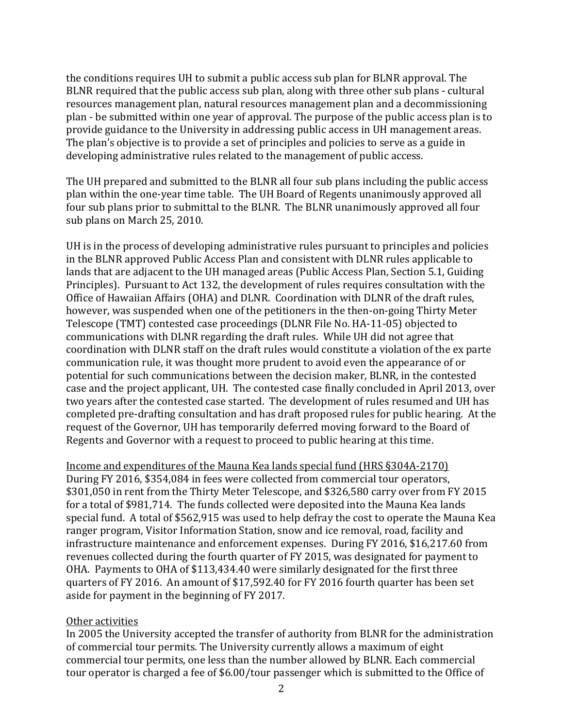the conditions requires UH to submit a public access sub plan for BLNR approval. The BLNR required that the public access sub plan, along with three other sub plans - cultural resources management plan, natural resources management plan and a decommissioning plan - be submitted within one year of approval. The purpose of the public access plan is to provide guidance to the University in addressing public access in UH management areas. The plan's objective is to provide a set of principles and policies to serve as a guide in developing administrative rules related to the management of public access.

The UH prepared and submitted to the BLNR all four sub plans including the public access plan within the one-year time table. The UH Board of Regents unanimously approved all four sub plans prior to submittal to the BLNR. The BLNR unanimously approved all four sub plans on March 25, 2010.

UH is in the process of developing administrative rules pursuant to principles and policies in the BLNR approved Public Access Plan and consistent with DLNR rules applicable to lands that are adjacent to the UH managed areas (Public Access Plan, Section 5.1, Guiding Principles). Pursuant to Act 132, the development of rules requires consultation with the Office of Hawaiian Affairs (OHA) and DLNR. Coordination with DLNR of the draft rules, however, was suspended when one of the petitioners in the then-on-going Thirty Meter Telescope (TMT) contested case proceedings (DLNR File No. HA-11-05) objected to communications with DLNR regarding the draft rules. While UH did not agree that coordination with DLNR staff on the draft rules would constitute a violation of the ex parte communication rule, it was thought more prudent to avoid even the appearance of or potential for such communications between the decision maker, BLNR, in the contested case and the project applicant, UH. The contested case finally concluded in April 2013, over two years after the contested case started. The development of rules resumed and UH has completed pre-drafting consultation and has draft proposed rules for public hearing. At the request of the Governor, UH has temporarily deferred moving forward to the Board of Regents and Governor with a request to proceed to public hearing at this time.

Income and expenditures of the Mauna Kea lands special fund (HRS §304A-2170) During FY 2016, \$354,084 in fees were collected from commercial tour operators, \$301,050 in rent from the Thirty Meter Telescope, and \$326,580 carry over from FY 2015 for a total of \$981,714. The funds collected were deposited into the Mauna Kea lands special fund. A total of \$562,915 was used to help defray the cost to operate the Mauna Kea ranger program, Visitor Information Station, snow and ice removal, road, facility and infrastructure maintenance and enforcement expenses. During FY 2016, \$16,217.60 from revenues collected during the fourth quarter of FY 2015, was designated for payment to OHA. Payments to OHA of \$113,434.40 were similarly designated for the first three quarters of FY 2016. An amount of \$17,592.40 for FY 2016 fourth quarter has been set aside for payment in the beginning of FY 2017.

## Other activities

In 2005 the University accepted the transfer of authority from BLNR for the administration of commercial tour permits. The University currently allows a maximum of eight commercial tour permits, one less than the number allowed by BLNR. Each commercial tour operator is charged a fee of \$6.00/tour passenger which is submitted to the Office of